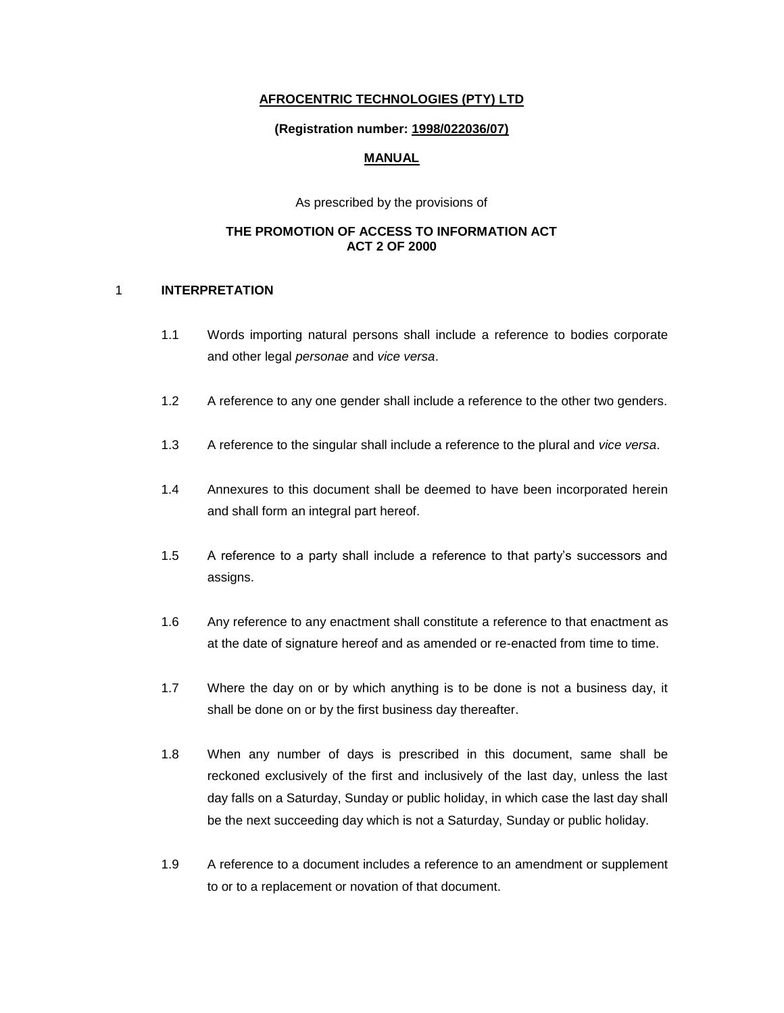### **AFROCENTRIC TECHNOLOGIES (PTY) LTD**

#### **(Registration number: 1998/022036/07)**

### **MANUAL**

As prescribed by the provisions of

### **THE PROMOTION OF ACCESS TO INFORMATION ACT ACT 2 OF 2000**

#### 1 **INTERPRETATION**

- 1.1 Words importing natural persons shall include a reference to bodies corporate and other legal *personae* and *vice versa*.
- 1.2 A reference to any one gender shall include a reference to the other two genders.
- 1.3 A reference to the singular shall include a reference to the plural and *vice versa*.
- 1.4 Annexures to this document shall be deemed to have been incorporated herein and shall form an integral part hereof.
- 1.5 A reference to a party shall include a reference to that party's successors and assigns.
- 1.6 Any reference to any enactment shall constitute a reference to that enactment as at the date of signature hereof and as amended or re-enacted from time to time.
- 1.7 Where the day on or by which anything is to be done is not a business day, it shall be done on or by the first business day thereafter.
- 1.8 When any number of days is prescribed in this document, same shall be reckoned exclusively of the first and inclusively of the last day, unless the last day falls on a Saturday, Sunday or public holiday, in which case the last day shall be the next succeeding day which is not a Saturday, Sunday or public holiday.
- 1.9 A reference to a document includes a reference to an amendment or supplement to or to a replacement or novation of that document.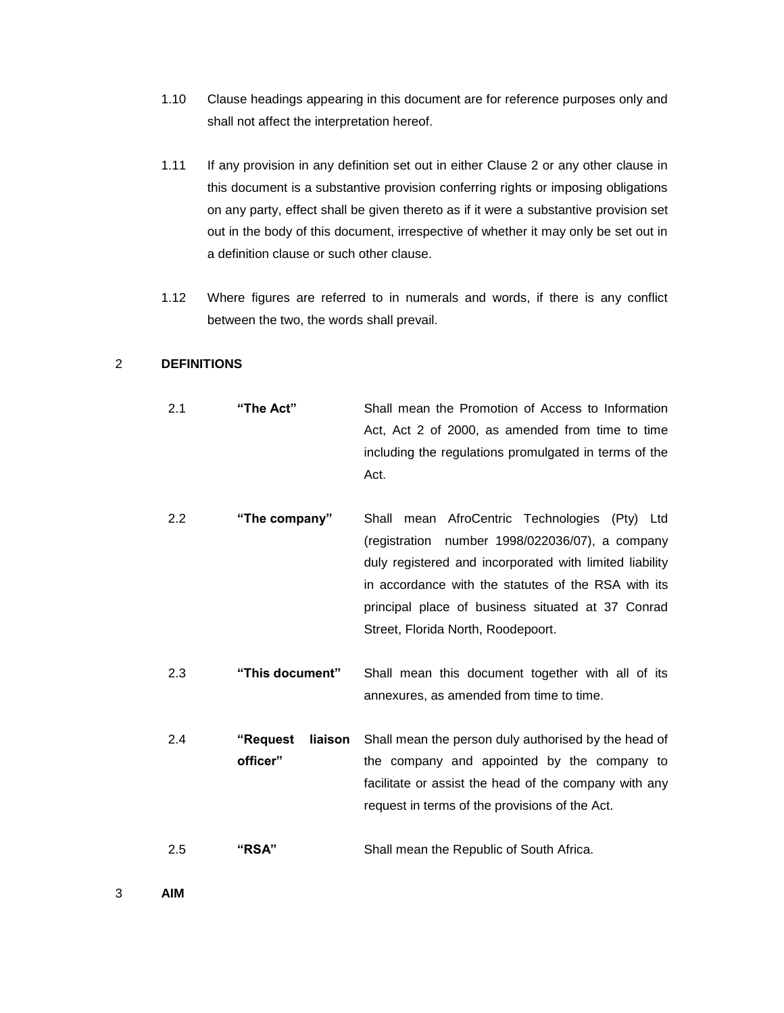- 1.10 Clause headings appearing in this document are for reference purposes only and shall not affect the interpretation hereof.
- 1.11 If any provision in any definition set out in either Clause 2 or any other clause in this document is a substantive provision conferring rights or imposing obligations on any party, effect shall be given thereto as if it were a substantive provision set out in the body of this document, irrespective of whether it may only be set out in a definition clause or such other clause.
- 1.12 Where figures are referred to in numerals and words, if there is any conflict between the two, the words shall prevail.

### 2 **DEFINITIONS**

- 2.1 **"The Act"** Shall mean the Promotion of Access to Information Act, Act 2 of 2000, as amended from time to time including the regulations promulgated in terms of the Act.
- 2.2 **"The company"** Shall mean AfroCentric Technologies (Pty) Ltd (registration number 1998/022036/07), a company duly registered and incorporated with limited liability in accordance with the statutes of the RSA with its principal place of business situated at 37 Conrad Street, Florida North, Roodepoort.
- 2.3 **"This document"** Shall mean this document together with all of its annexures, as amended from time to time.
- 2.4 **"Request liaison officer"** Shall mean the person duly authorised by the head of the company and appointed by the company to facilitate or assist the head of the company with any request in terms of the provisions of the Act.
- 2.5 **"RSA"** Shall mean the Republic of South Africa.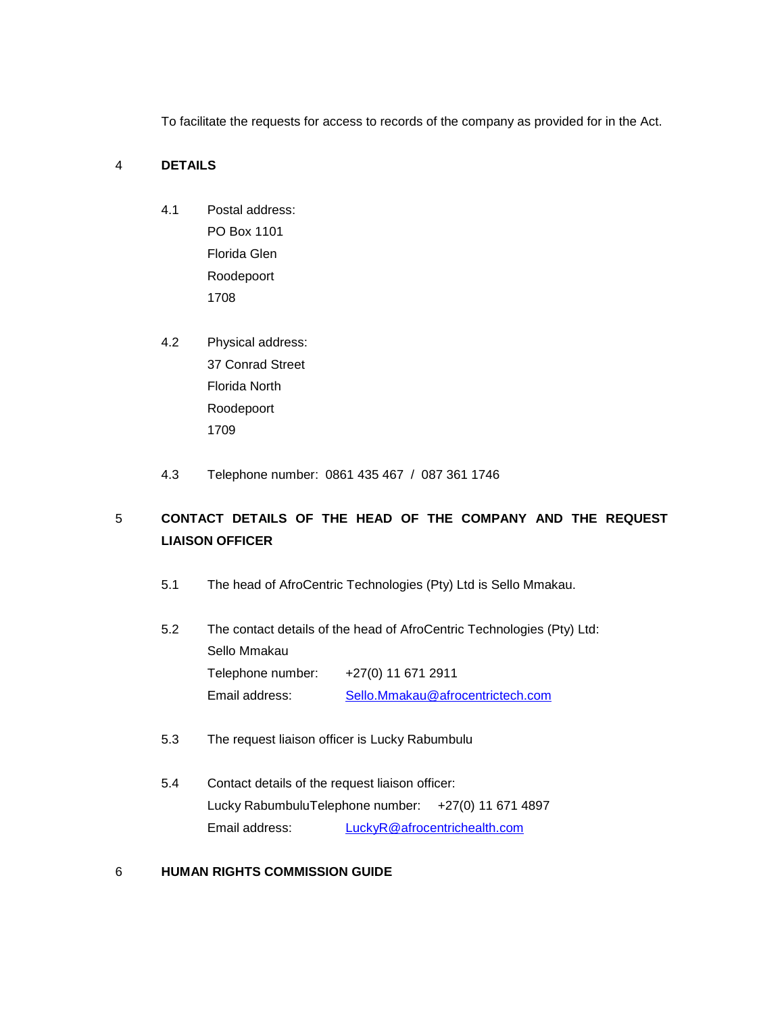To facilitate the requests for access to records of the company as provided for in the Act.

## 4 **DETAILS**

- 4.1 Postal address: PO Box 1101 Florida Glen Roodepoort 1708
- 4.2 Physical address: 37 Conrad Street Florida North Roodepoort 1709
- 4.3 Telephone number: 0861 435 467 / 087 361 1746

# 5 **CONTACT DETAILS OF THE HEAD OF THE COMPANY AND THE REQUEST LIAISON OFFICER**

- 5.1 The head of AfroCentric Technologies (Pty) Ltd is Sello Mmakau.
- 5.2 The contact details of the head of AfroCentric Technologies (Pty) Ltd: Sello Mmakau Telephone number: +27(0) 11 671 2911 Email address: [Sello.Mmakau@afrocentrictech.com](mailto:Sello.Mmakau@afrocentrictech.com)
- 5.3 The request liaison officer is Lucky Rabumbulu
- 5.4 Contact details of the request liaison officer: Lucky RabumbuluTelephone number: +27(0) 11 671 4897 Email address: [LuckyR@afrocentrichealth.com](mailto:LuckyR@afrocentrichealth.com)

#### 6 **HUMAN RIGHTS COMMISSION GUIDE**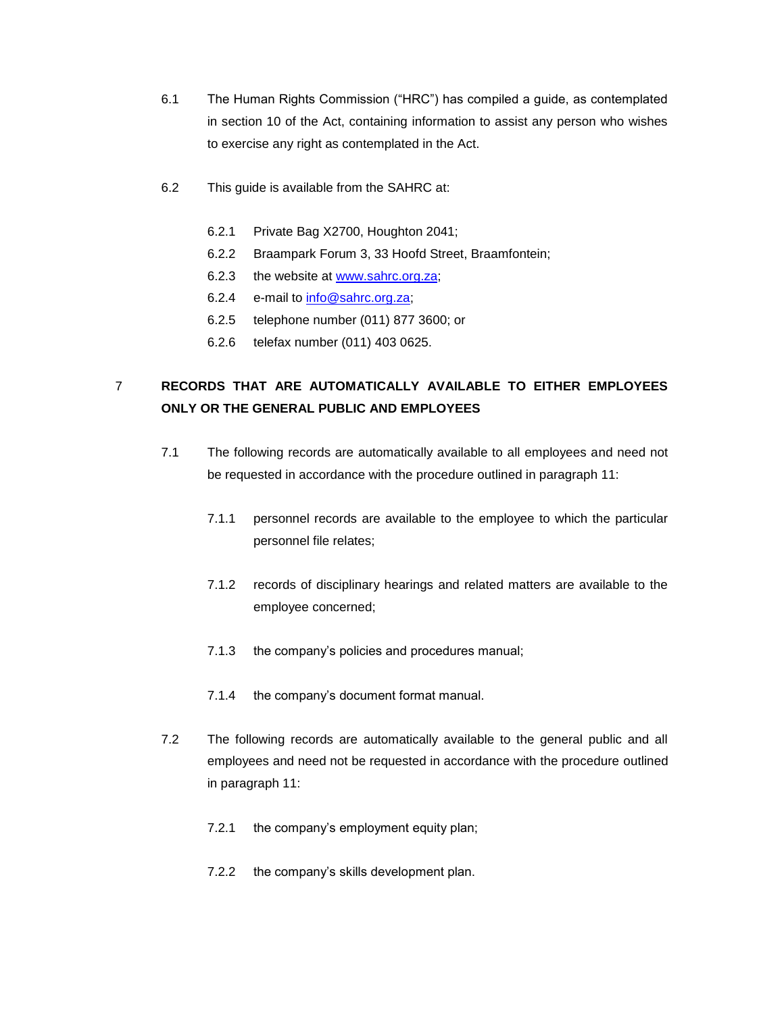- 6.1 The Human Rights Commission ("HRC") has compiled a guide, as contemplated in section 10 of the Act, containing information to assist any person who wishes to exercise any right as contemplated in the Act.
- 6.2 This guide is available from the SAHRC at:
	- 6.2.1 Private Bag X2700, Houghton 2041;
	- 6.2.2 Braampark Forum 3, 33 Hoofd Street, Braamfontein;
	- 6.2.3 the website at [www.sahrc.org.za;](http://www.sahrc.org.za/)
	- 6.2.4 e-mail to [info@sahrc.org.za;](mailto:info@sahrc.org.za)
	- 6.2.5 telephone number (011) 877 3600; or
	- 6.2.6 telefax number (011) 403 0625.

## 7 **RECORDS THAT ARE AUTOMATICALLY AVAILABLE TO EITHER EMPLOYEES ONLY OR THE GENERAL PUBLIC AND EMPLOYEES**

- 7.1 The following records are automatically available to all employees and need not be requested in accordance with the procedure outlined in paragraph 11:
	- 7.1.1 personnel records are available to the employee to which the particular personnel file relates;
	- 7.1.2 records of disciplinary hearings and related matters are available to the employee concerned;
	- 7.1.3 the company's policies and procedures manual;
	- 7.1.4 the company's document format manual.
- 7.2 The following records are automatically available to the general public and all employees and need not be requested in accordance with the procedure outlined in paragraph 11:
	- 7.2.1 the company's employment equity plan;
	- 7.2.2 the company's skills development plan.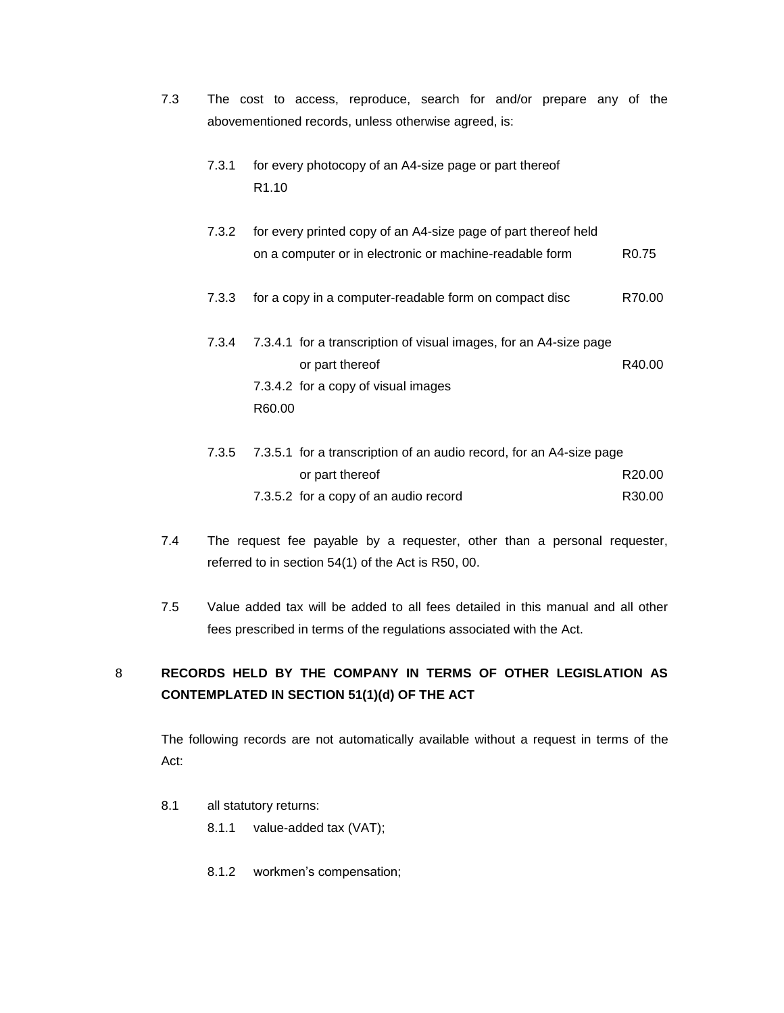| 7.3 |       |                   |                 | The cost to access, reproduce, search for and/or prepare any of the                                                       |  |  |                   |  |
|-----|-------|-------------------|-----------------|---------------------------------------------------------------------------------------------------------------------------|--|--|-------------------|--|
|     |       |                   |                 | abovementioned records, unless otherwise agreed, is:                                                                      |  |  |                   |  |
|     | 7.3.1 | R <sub>1.10</sub> |                 | for every photocopy of an A4-size page or part thereof                                                                    |  |  |                   |  |
|     | 7.3.2 |                   |                 | for every printed copy of an A4-size page of part thereof held<br>on a computer or in electronic or machine-readable form |  |  | R <sub>0.75</sub> |  |
|     | 7.3.3 |                   |                 | for a copy in a computer-readable form on compact disc                                                                    |  |  | R70.00            |  |
|     | 7.3.4 | R60.00            | or part thereof | 7.3.4.1 for a transcription of visual images, for an A4-size page<br>7.3.4.2 for a copy of visual images                  |  |  | R40.00            |  |
|     |       |                   |                 | $7.251$ for a transariation of an audio recent for an $\Lambda A$ eize pose                                               |  |  |                   |  |

|  | 7.3.5 7.3.5.1 for a transcription of an audio record, for an A4-size page |        |  |  |  |
|--|---------------------------------------------------------------------------|--------|--|--|--|
|  | or part thereof                                                           | R20.00 |  |  |  |
|  | 7.3.5.2 for a copy of an audio record                                     | R30.00 |  |  |  |

- 7.4 The request fee payable by a requester, other than a personal requester, referred to in section 54(1) of the Act is R50, 00.
- 7.5 Value added tax will be added to all fees detailed in this manual and all other fees prescribed in terms of the regulations associated with the Act.

# 8 **RECORDS HELD BY THE COMPANY IN TERMS OF OTHER LEGISLATION AS CONTEMPLATED IN SECTION 51(1)(d) OF THE ACT**

The following records are not automatically available without a request in terms of the Act:

- 8.1 all statutory returns:
	- 8.1.1 value-added tax (VAT);
	- 8.1.2 workmen's compensation;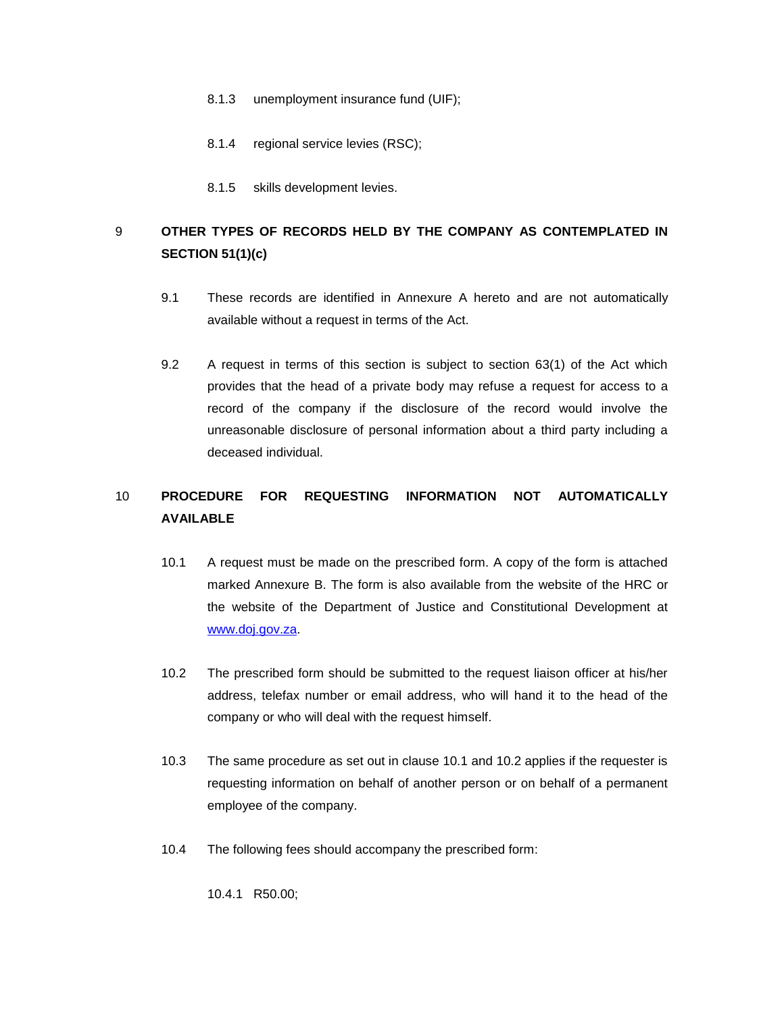- 8.1.3 unemployment insurance fund (UIF);
- 8.1.4 regional service levies (RSC);
- 8.1.5 skills development levies.

# 9 **OTHER TYPES OF RECORDS HELD BY THE COMPANY AS CONTEMPLATED IN SECTION 51(1)(c)**

- 9.1 These records are identified in Annexure A hereto and are not automatically available without a request in terms of the Act.
- 9.2 A request in terms of this section is subject to section 63(1) of the Act which provides that the head of a private body may refuse a request for access to a record of the company if the disclosure of the record would involve the unreasonable disclosure of personal information about a third party including a deceased individual.

# 10 **PROCEDURE FOR REQUESTING INFORMATION NOT AUTOMATICALLY AVAILABLE**

- 10.1 A request must be made on the prescribed form. A copy of the form is attached marked Annexure B. The form is also available from the website of the HRC or the website of the Department of Justice and Constitutional Development at [www.doj.gov.za.](http://www.doj.gov.za/)
- 10.2 The prescribed form should be submitted to the request liaison officer at his/her address, telefax number or email address, who will hand it to the head of the company or who will deal with the request himself.
- 10.3 The same procedure as set out in clause 10.1 and 10.2 applies if the requester is requesting information on behalf of another person or on behalf of a permanent employee of the company.
- 10.4 The following fees should accompany the prescribed form:

10.4.1 R50.00;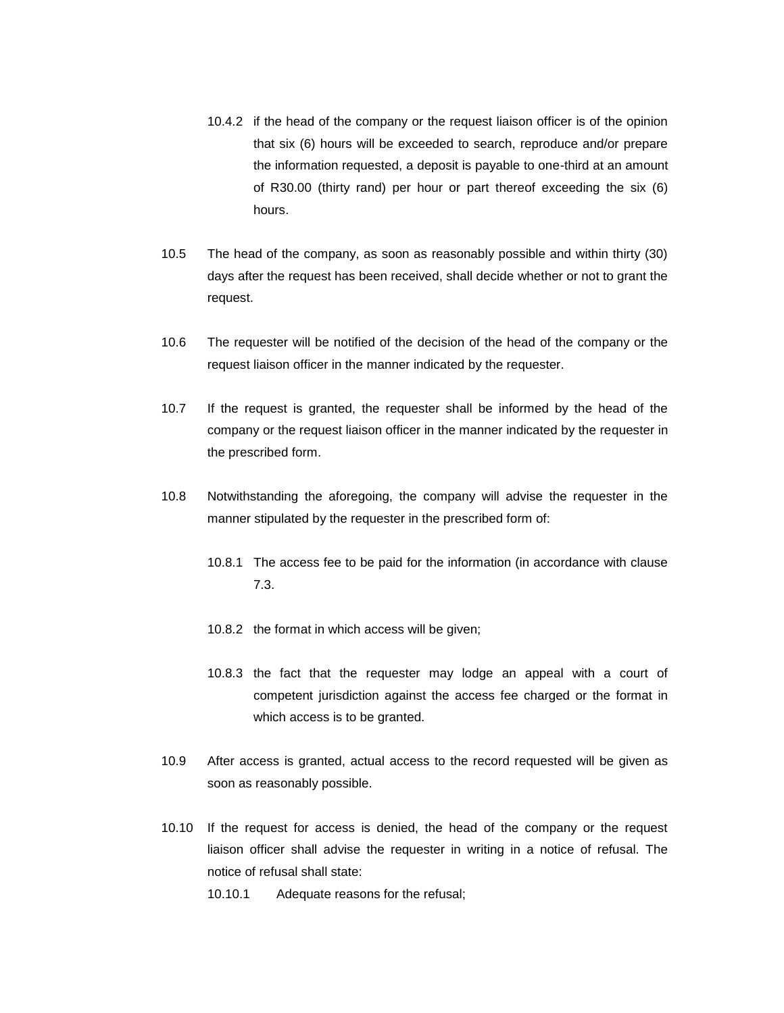- 10.4.2 if the head of the company or the request liaison officer is of the opinion that six (6) hours will be exceeded to search, reproduce and/or prepare the information requested, a deposit is payable to one-third at an amount of R30.00 (thirty rand) per hour or part thereof exceeding the six (6) hours.
- 10.5 The head of the company, as soon as reasonably possible and within thirty (30) days after the request has been received, shall decide whether or not to grant the request.
- 10.6 The requester will be notified of the decision of the head of the company or the request liaison officer in the manner indicated by the requester.
- 10.7 If the request is granted, the requester shall be informed by the head of the company or the request liaison officer in the manner indicated by the requester in the prescribed form.
- 10.8 Notwithstanding the aforegoing, the company will advise the requester in the manner stipulated by the requester in the prescribed form of:
	- 10.8.1 The access fee to be paid for the information (in accordance with clause 7.3.
	- 10.8.2 the format in which access will be given;
	- 10.8.3 the fact that the requester may lodge an appeal with a court of competent jurisdiction against the access fee charged or the format in which access is to be granted.
- 10.9 After access is granted, actual access to the record requested will be given as soon as reasonably possible.
- 10.10 If the request for access is denied, the head of the company or the request liaison officer shall advise the requester in writing in a notice of refusal. The notice of refusal shall state:
	- 10.10.1 Adequate reasons for the refusal;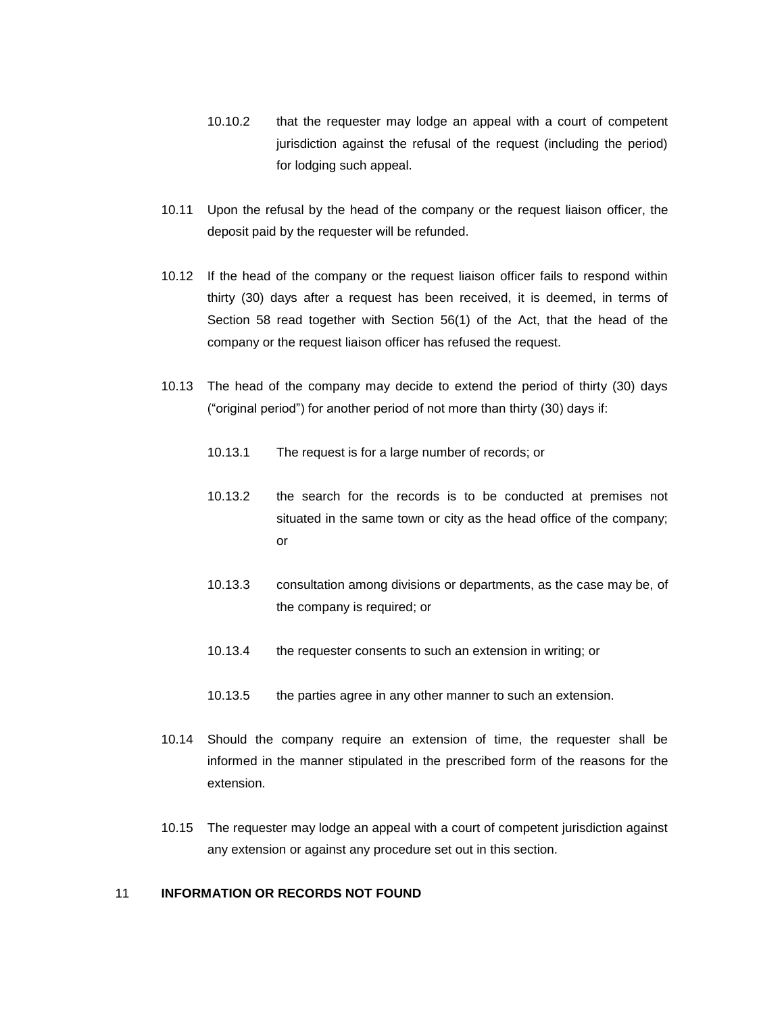- 10.10.2 that the requester may lodge an appeal with a court of competent jurisdiction against the refusal of the request (including the period) for lodging such appeal.
- 10.11 Upon the refusal by the head of the company or the request liaison officer, the deposit paid by the requester will be refunded.
- 10.12 If the head of the company or the request liaison officer fails to respond within thirty (30) days after a request has been received, it is deemed, in terms of Section 58 read together with Section 56(1) of the Act, that the head of the company or the request liaison officer has refused the request.
- 10.13 The head of the company may decide to extend the period of thirty (30) days ("original period") for another period of not more than thirty (30) days if:
	- 10.13.1 The request is for a large number of records; or
	- 10.13.2 the search for the records is to be conducted at premises not situated in the same town or city as the head office of the company; or
	- 10.13.3 consultation among divisions or departments, as the case may be, of the company is required; or
	- 10.13.4 the requester consents to such an extension in writing; or
	- 10.13.5 the parties agree in any other manner to such an extension.
- 10.14 Should the company require an extension of time, the requester shall be informed in the manner stipulated in the prescribed form of the reasons for the extension.
- 10.15 The requester may lodge an appeal with a court of competent jurisdiction against any extension or against any procedure set out in this section.

## 11 **INFORMATION OR RECORDS NOT FOUND**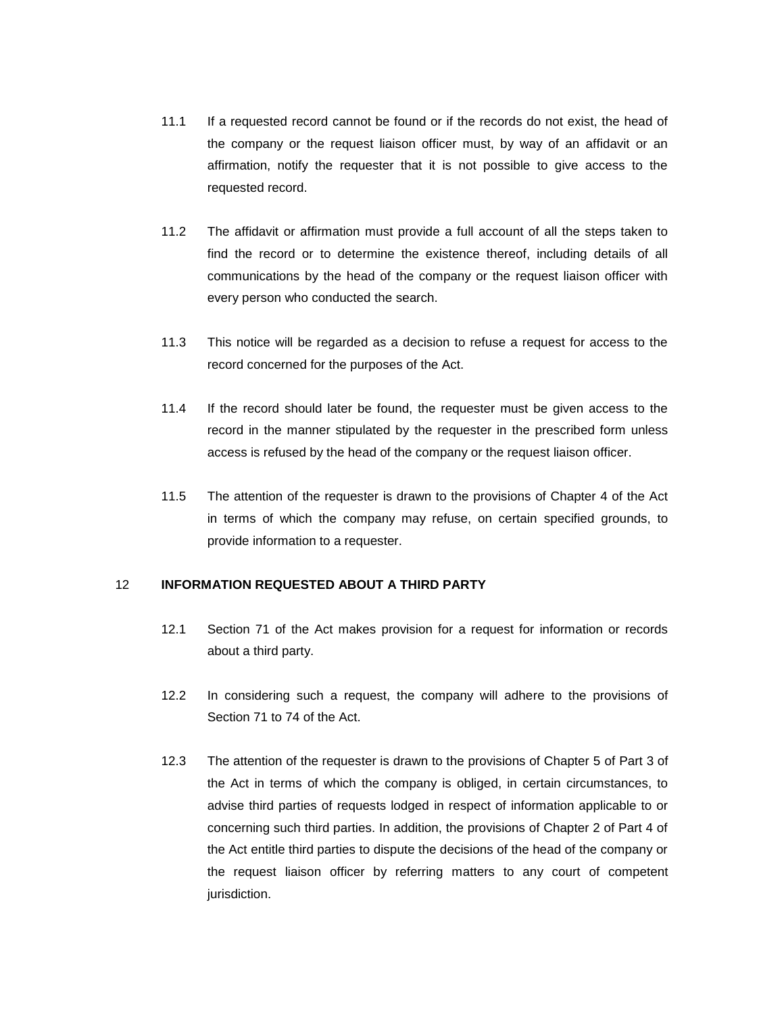- 11.1 If a requested record cannot be found or if the records do not exist, the head of the company or the request liaison officer must, by way of an affidavit or an affirmation, notify the requester that it is not possible to give access to the requested record.
- 11.2 The affidavit or affirmation must provide a full account of all the steps taken to find the record or to determine the existence thereof, including details of all communications by the head of the company or the request liaison officer with every person who conducted the search.
- 11.3 This notice will be regarded as a decision to refuse a request for access to the record concerned for the purposes of the Act.
- 11.4 If the record should later be found, the requester must be given access to the record in the manner stipulated by the requester in the prescribed form unless access is refused by the head of the company or the request liaison officer.
- 11.5 The attention of the requester is drawn to the provisions of Chapter 4 of the Act in terms of which the company may refuse, on certain specified grounds, to provide information to a requester.

#### 12 **INFORMATION REQUESTED ABOUT A THIRD PARTY**

- 12.1 Section 71 of the Act makes provision for a request for information or records about a third party.
- 12.2 In considering such a request, the company will adhere to the provisions of Section 71 to 74 of the Act.
- 12.3 The attention of the requester is drawn to the provisions of Chapter 5 of Part 3 of the Act in terms of which the company is obliged, in certain circumstances, to advise third parties of requests lodged in respect of information applicable to or concerning such third parties. In addition, the provisions of Chapter 2 of Part 4 of the Act entitle third parties to dispute the decisions of the head of the company or the request liaison officer by referring matters to any court of competent jurisdiction.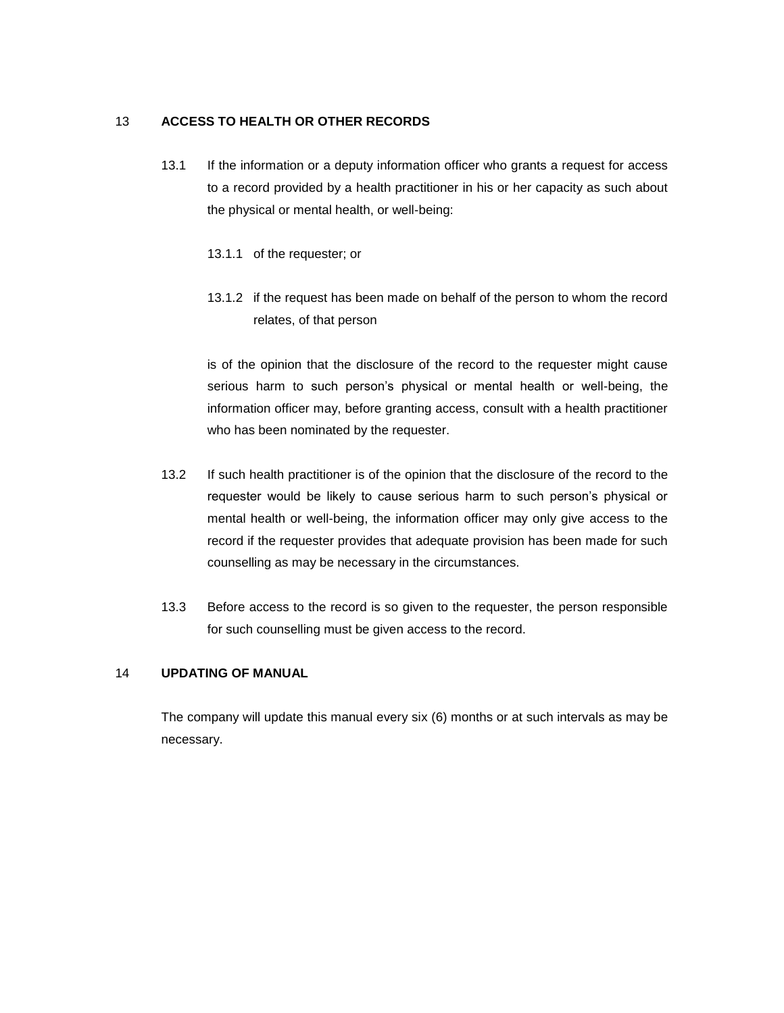### 13 **ACCESS TO HEALTH OR OTHER RECORDS**

- 13.1 If the information or a deputy information officer who grants a request for access to a record provided by a health practitioner in his or her capacity as such about the physical or mental health, or well-being:
	- 13.1.1 of the requester; or
	- 13.1.2 if the request has been made on behalf of the person to whom the record relates, of that person

is of the opinion that the disclosure of the record to the requester might cause serious harm to such person's physical or mental health or well-being, the information officer may, before granting access, consult with a health practitioner who has been nominated by the requester.

- 13.2 If such health practitioner is of the opinion that the disclosure of the record to the requester would be likely to cause serious harm to such person's physical or mental health or well-being, the information officer may only give access to the record if the requester provides that adequate provision has been made for such counselling as may be necessary in the circumstances.
- 13.3 Before access to the record is so given to the requester, the person responsible for such counselling must be given access to the record.

#### 14 **UPDATING OF MANUAL**

The company will update this manual every six (6) months or at such intervals as may be necessary.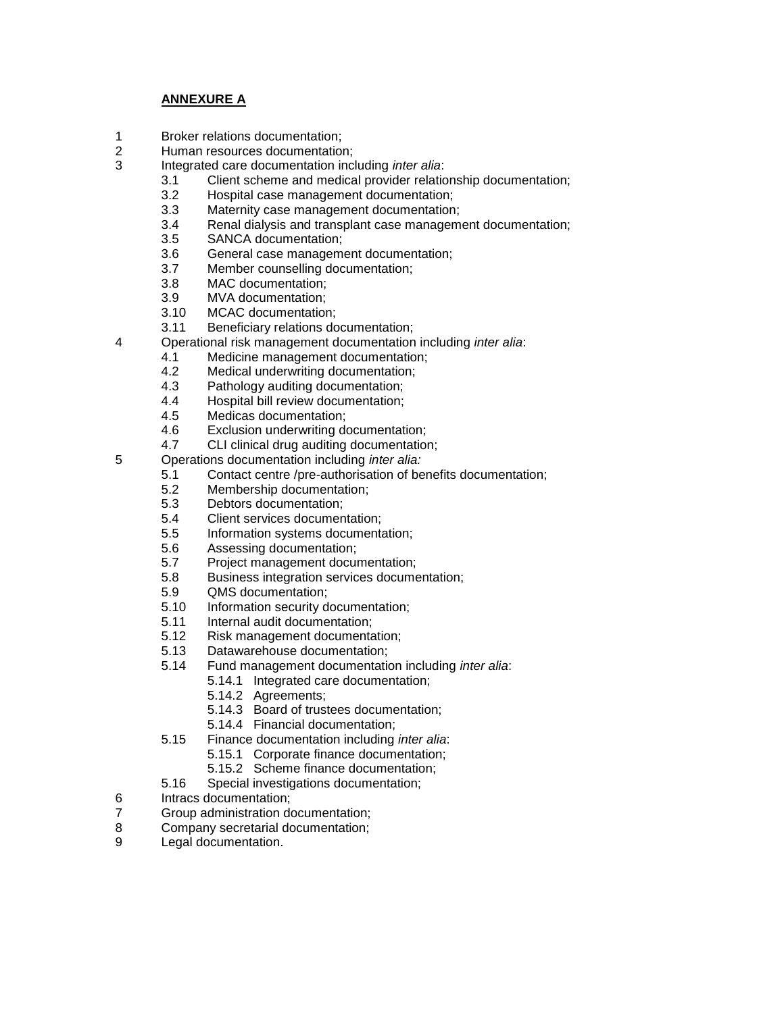## **ANNEXURE A**

- 1 Broker relations documentation;
- 2 Human resources documentation;
- 3 Integrated care documentation including *inter alia*:
	- 3.1 Client scheme and medical provider relationship documentation;
	- 3.2 Hospital case management documentation;
	- 3.3 Maternity case management documentation;
	- 3.4 Renal dialysis and transplant case management documentation;
	- 3.5 SANCA documentation;
	- 3.6 General case management documentation;
	- 3.7 Member counselling documentation;
	- 3.8 MAC documentation;
	- 3.9 MVA documentation;
	- 3.10 MCAC documentation;
	- 3.11 Beneficiary relations documentation;
- 4 Operational risk management documentation including *inter alia*:
	- 4.1 Medicine management documentation;
	- 4.2 Medical underwriting documentation;
	- 4.3 Pathology auditing documentation;
	- 4.4 Hospital bill review documentation;
	- 4.5 Medicas documentation;
	- 4.6 Exclusion underwriting documentation;
	- 4.7 CLI clinical drug auditing documentation;
- 5 Operations documentation including *inter alia:*
	- 5.1 Contact centre /pre-authorisation of benefits documentation;
	- 5.2 Membership documentation;
	- 5.3 Debtors documentation;
	- 5.4 Client services documentation;
	- 5.5 Information systems documentation;
	- 5.6 Assessing documentation;
	- 5.7 Project management documentation;
	- 5.8 Business integration services documentation;
	- 5.9 **QMS** documentation;<br>5.10 Information security do
	- Information security documentation;
	- 5.11 Internal audit documentation;
	- 5.12 Risk management documentation;
	- 5.13 Datawarehouse documentation;
	- 5.14 Fund management documentation including *inter alia*:
		- 5.14.1 Integrated care documentation;
		- 5.14.2 Agreements;
		- 5.14.3 Board of trustees documentation;
		- 5.14.4 Financial documentation;
	- 5.15 Finance documentation including *inter alia*:
		- 5.15.1 Corporate finance documentation;
			- 5.15.2 Scheme finance documentation;
	- 5.16 Special investigations documentation;
- 6 Intracs documentation;
- 7 Group administration documentation;
- 8 Company secretarial documentation;
- 9 Legal documentation.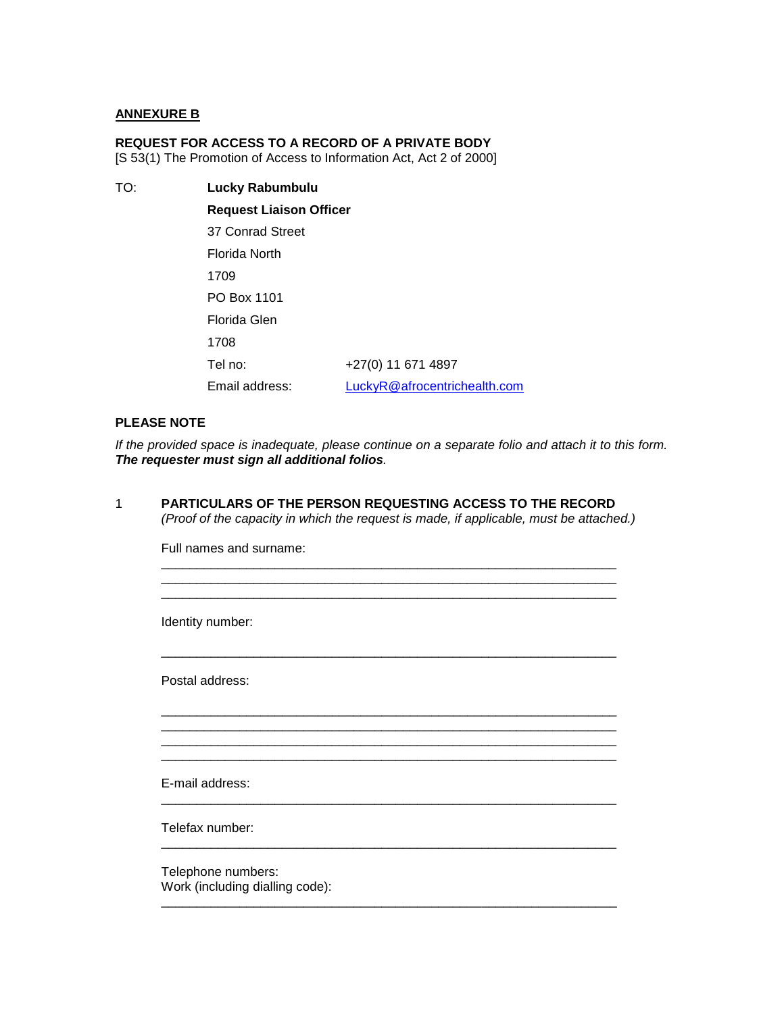### **ANNEXURE B**

### **REQUEST FOR ACCESS TO A RECORD OF A PRIVATE BODY**

[S 53(1) The Promotion of Access to Information Act, Act 2 of 2000]

TO: **Lucky Rabumbulu Request Liaison Officer** 37 Conrad Street Florida North 1709 PO Box 1101 Florida Glen 1708 Tel no: +27(0) 11 671 4897 Email address: [LuckyR@afrocentrichealth.com](mailto:LuckyR@afrocentrichealth.com)

### **PLEASE NOTE**

*If the provided space is inadequate, please continue on a separate folio and attach it to this form. The requester must sign all additional folios.*

\_\_\_\_\_\_\_\_\_\_\_\_\_\_\_\_\_\_\_\_\_\_\_\_\_\_\_\_\_\_\_\_\_\_\_\_\_\_\_\_\_\_\_\_\_\_\_\_\_\_\_\_\_\_\_\_\_\_\_\_\_\_\_\_

\_\_\_\_\_\_\_\_\_\_\_\_\_\_\_\_\_\_\_\_\_\_\_\_\_\_\_\_\_\_\_\_\_\_\_\_\_\_\_\_\_\_\_\_\_\_\_\_\_\_\_\_\_\_\_\_\_\_\_\_\_\_\_\_

\_\_\_\_\_\_\_\_\_\_\_\_\_\_\_\_\_\_\_\_\_\_\_\_\_\_\_\_\_\_\_\_\_\_\_\_\_\_\_\_\_\_\_\_\_\_\_\_\_\_\_\_\_\_\_\_\_\_\_\_\_\_\_\_

\_\_\_\_\_\_\_\_\_\_\_\_\_\_\_\_\_\_\_\_\_\_\_\_\_\_\_\_\_\_\_\_\_\_\_\_\_\_\_\_\_\_\_\_\_\_\_\_\_\_\_\_\_\_\_\_\_\_\_\_\_\_\_\_ \_\_\_\_\_\_\_\_\_\_\_\_\_\_\_\_\_\_\_\_\_\_\_\_\_\_\_\_\_\_\_\_\_\_\_\_\_\_\_\_\_\_\_\_\_\_\_\_\_\_\_\_\_\_\_\_\_\_\_\_\_\_\_\_ \_\_\_\_\_\_\_\_\_\_\_\_\_\_\_\_\_\_\_\_\_\_\_\_\_\_\_\_\_\_\_\_\_\_\_\_\_\_\_\_\_\_\_\_\_\_\_\_\_\_\_\_\_\_\_\_\_\_\_\_\_\_\_\_ \_\_\_\_\_\_\_\_\_\_\_\_\_\_\_\_\_\_\_\_\_\_\_\_\_\_\_\_\_\_\_\_\_\_\_\_\_\_\_\_\_\_\_\_\_\_\_\_\_\_\_\_\_\_\_\_\_\_\_\_\_\_\_\_

\_\_\_\_\_\_\_\_\_\_\_\_\_\_\_\_\_\_\_\_\_\_\_\_\_\_\_\_\_\_\_\_\_\_\_\_\_\_\_\_\_\_\_\_\_\_\_\_\_\_\_\_\_\_\_\_\_\_\_\_\_\_\_\_

\_\_\_\_\_\_\_\_\_\_\_\_\_\_\_\_\_\_\_\_\_\_\_\_\_\_\_\_\_\_\_\_\_\_\_\_\_\_\_\_\_\_\_\_\_\_\_\_\_\_\_\_\_\_\_\_\_\_\_\_\_\_\_\_

\_\_\_\_\_\_\_\_\_\_\_\_\_\_\_\_\_\_\_\_\_\_\_\_\_\_\_\_\_\_\_\_\_\_\_\_\_\_\_\_\_\_\_\_\_\_\_\_\_\_\_\_\_\_\_\_\_\_\_\_\_\_\_\_

1 **PARTICULARS OF THE PERSON REQUESTING ACCESS TO THE RECORD** *(Proof of the capacity in which the request is made, if applicable, must be attached.)*

Full names and surname:

Identity number:

Postal address:

E-mail address:

Telefax number:

Telephone numbers: Work (including dialling code):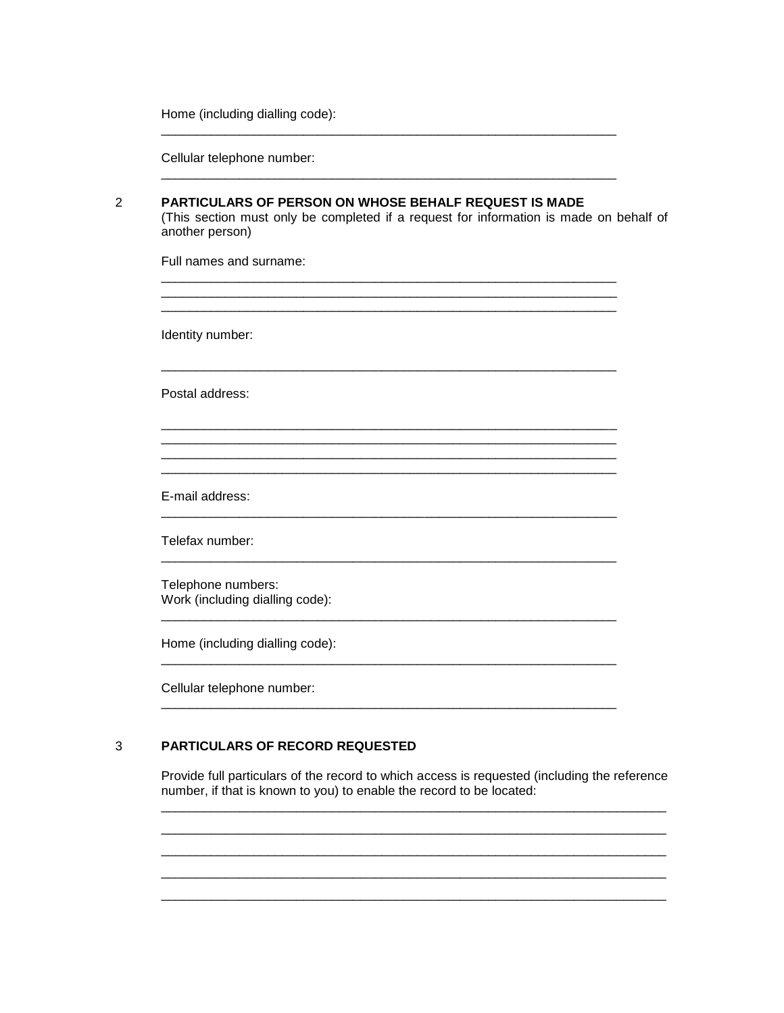Home (including dialling code):

Cellular telephone number:

| PARTICULARS OF PERSON ON WHOSE BEHALF REQUEST IS MADE<br>(This section must only be completed if a request for information is made on behalf of<br>another person) |  |  |  |  |  |  |
|--------------------------------------------------------------------------------------------------------------------------------------------------------------------|--|--|--|--|--|--|
| Full names and surname:                                                                                                                                            |  |  |  |  |  |  |
| Identity number:                                                                                                                                                   |  |  |  |  |  |  |
| Postal address:                                                                                                                                                    |  |  |  |  |  |  |
|                                                                                                                                                                    |  |  |  |  |  |  |
| E-mail address:                                                                                                                                                    |  |  |  |  |  |  |
| Telefax number:                                                                                                                                                    |  |  |  |  |  |  |
| Telephone numbers:<br>Work (including dialling code):                                                                                                              |  |  |  |  |  |  |
| Home (including dialling code):                                                                                                                                    |  |  |  |  |  |  |
| Cellular telephone number:                                                                                                                                         |  |  |  |  |  |  |
|                                                                                                                                                                    |  |  |  |  |  |  |

#### $\overline{3}$ PARTICULARS OF RECORD REQUESTED

Provide full particulars of the record to which access is requested (including the reference number, if that is known to you) to enable the record to be located: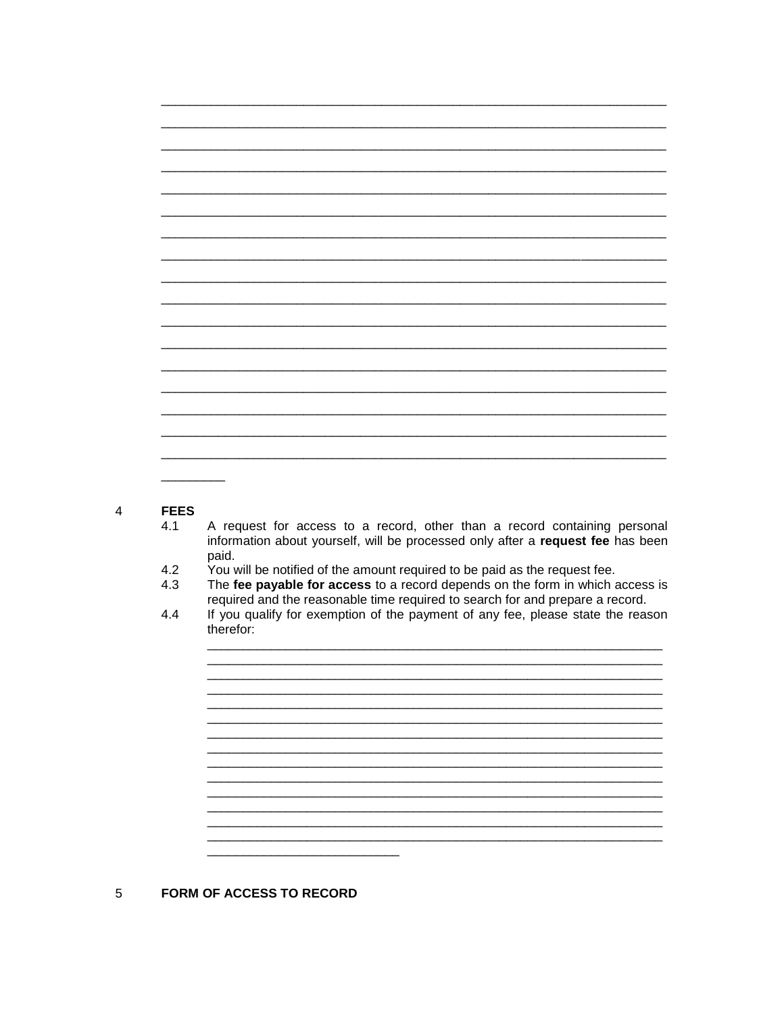#### **FEES**  $\overline{4}$

- $4.1$ A request for access to a record, other than a record containing personal information about yourself, will be processed only after a request fee has been paid.
- $4.2$ You will be notified of the amount required to be paid as the request fee.
- The fee payable for access to a record depends on the form in which access is  $4.3$ required and the reasonable time required to search for and prepare a record.
- If you qualify for exemption of the payment of any fee, please state the reason 4.4 therefor:

<u> 1980 - Jan Barbara Barat, martin da basar da basar da basar da basar da basar da basar da basar</u>

#### 5 FORM OF ACCESS TO RECORD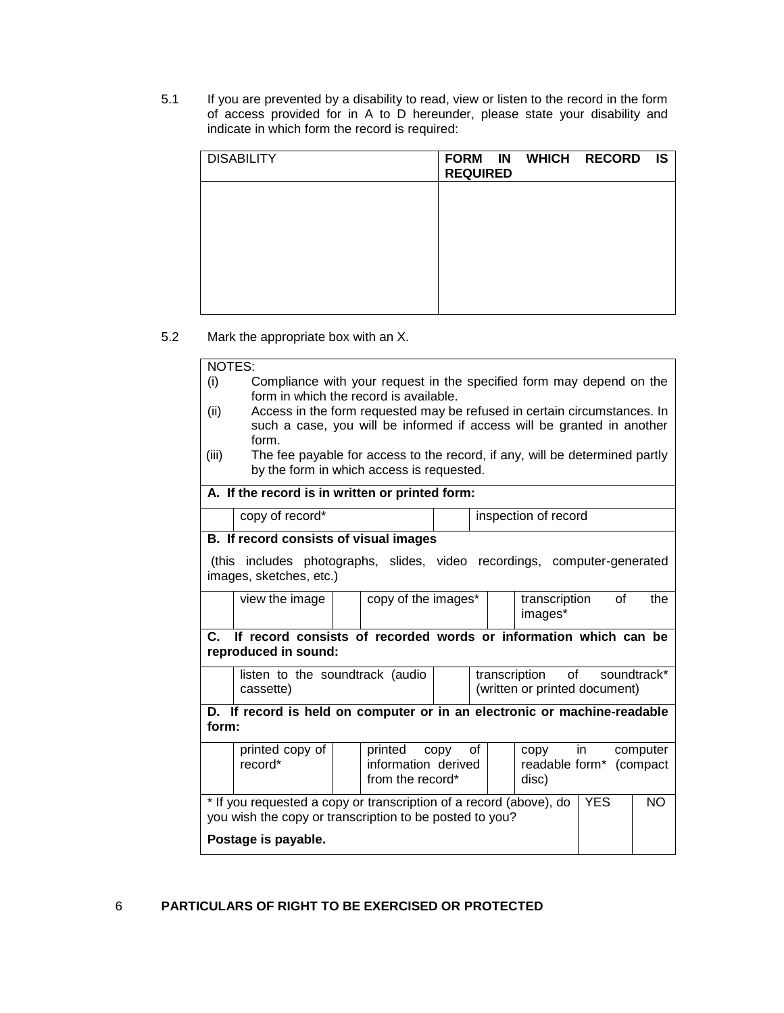5.1 If you are prevented by a disability to read, view or listen to the record in the form of access provided for in A to D hereunder, please state your disability and indicate in which form the record is required:

| <b>DISABILITY</b> | FORM IN WHICH RECORD IS<br><b>REQUIRED</b> |  |  |
|-------------------|--------------------------------------------|--|--|
|                   |                                            |  |  |
|                   |                                            |  |  |
|                   |                                            |  |  |
|                   |                                            |  |  |

5.2 Mark the appropriate box with an X.

| Compliance with your request in the specified form may depend on the<br>(i)<br>form in which the record is available.<br>Access in the form requested may be refused in certain circumstances. In<br>(ii)<br>such a case, you will be informed if access will be granted in another<br>form.<br>(iii)<br>The fee payable for access to the record, if any, will be determined partly<br>by the form in which access is requested.<br>A. If the record is in written or printed form:<br>copy of record*<br>inspection of record<br>B. If record consists of visual images<br>(this includes photographs, slides, video recordings, computer-generated<br>images, sketches, etc.)<br>copy of the images*<br>of<br>view the image<br>transcription<br>the<br>images*<br>If record consists of recorded words or information which can be<br>$\mathbf{C}$<br>reproduced in sound:<br>transcription<br>of<br>soundtrack*<br>listen to the soundtrack (audio<br>(written or printed document)<br>cassette)<br>D. If record is held on computer or in an electronic or machine-readable<br>form:<br>printed copy of<br>printed<br>0f<br>in.<br>computer<br>copy<br>copy<br>record*<br>information derived<br>readable form* (compact<br>from the record*<br>disc)<br>* If you requested a copy or transcription of a record (above), do<br><b>YES</b><br><b>NO</b><br>you wish the copy or transcription to be posted to you?<br>Postage is payable. | NOTES: |  |  |  |  |  |  |  |  |
|------------------------------------------------------------------------------------------------------------------------------------------------------------------------------------------------------------------------------------------------------------------------------------------------------------------------------------------------------------------------------------------------------------------------------------------------------------------------------------------------------------------------------------------------------------------------------------------------------------------------------------------------------------------------------------------------------------------------------------------------------------------------------------------------------------------------------------------------------------------------------------------------------------------------------------------------------------------------------------------------------------------------------------------------------------------------------------------------------------------------------------------------------------------------------------------------------------------------------------------------------------------------------------------------------------------------------------------------------------------------------------------------------------------------------------------------|--------|--|--|--|--|--|--|--|--|
|                                                                                                                                                                                                                                                                                                                                                                                                                                                                                                                                                                                                                                                                                                                                                                                                                                                                                                                                                                                                                                                                                                                                                                                                                                                                                                                                                                                                                                                |        |  |  |  |  |  |  |  |  |
|                                                                                                                                                                                                                                                                                                                                                                                                                                                                                                                                                                                                                                                                                                                                                                                                                                                                                                                                                                                                                                                                                                                                                                                                                                                                                                                                                                                                                                                |        |  |  |  |  |  |  |  |  |
|                                                                                                                                                                                                                                                                                                                                                                                                                                                                                                                                                                                                                                                                                                                                                                                                                                                                                                                                                                                                                                                                                                                                                                                                                                                                                                                                                                                                                                                |        |  |  |  |  |  |  |  |  |
|                                                                                                                                                                                                                                                                                                                                                                                                                                                                                                                                                                                                                                                                                                                                                                                                                                                                                                                                                                                                                                                                                                                                                                                                                                                                                                                                                                                                                                                |        |  |  |  |  |  |  |  |  |
|                                                                                                                                                                                                                                                                                                                                                                                                                                                                                                                                                                                                                                                                                                                                                                                                                                                                                                                                                                                                                                                                                                                                                                                                                                                                                                                                                                                                                                                |        |  |  |  |  |  |  |  |  |
|                                                                                                                                                                                                                                                                                                                                                                                                                                                                                                                                                                                                                                                                                                                                                                                                                                                                                                                                                                                                                                                                                                                                                                                                                                                                                                                                                                                                                                                |        |  |  |  |  |  |  |  |  |
|                                                                                                                                                                                                                                                                                                                                                                                                                                                                                                                                                                                                                                                                                                                                                                                                                                                                                                                                                                                                                                                                                                                                                                                                                                                                                                                                                                                                                                                |        |  |  |  |  |  |  |  |  |
|                                                                                                                                                                                                                                                                                                                                                                                                                                                                                                                                                                                                                                                                                                                                                                                                                                                                                                                                                                                                                                                                                                                                                                                                                                                                                                                                                                                                                                                |        |  |  |  |  |  |  |  |  |
|                                                                                                                                                                                                                                                                                                                                                                                                                                                                                                                                                                                                                                                                                                                                                                                                                                                                                                                                                                                                                                                                                                                                                                                                                                                                                                                                                                                                                                                |        |  |  |  |  |  |  |  |  |
|                                                                                                                                                                                                                                                                                                                                                                                                                                                                                                                                                                                                                                                                                                                                                                                                                                                                                                                                                                                                                                                                                                                                                                                                                                                                                                                                                                                                                                                |        |  |  |  |  |  |  |  |  |
|                                                                                                                                                                                                                                                                                                                                                                                                                                                                                                                                                                                                                                                                                                                                                                                                                                                                                                                                                                                                                                                                                                                                                                                                                                                                                                                                                                                                                                                |        |  |  |  |  |  |  |  |  |
|                                                                                                                                                                                                                                                                                                                                                                                                                                                                                                                                                                                                                                                                                                                                                                                                                                                                                                                                                                                                                                                                                                                                                                                                                                                                                                                                                                                                                                                |        |  |  |  |  |  |  |  |  |
|                                                                                                                                                                                                                                                                                                                                                                                                                                                                                                                                                                                                                                                                                                                                                                                                                                                                                                                                                                                                                                                                                                                                                                                                                                                                                                                                                                                                                                                |        |  |  |  |  |  |  |  |  |
|                                                                                                                                                                                                                                                                                                                                                                                                                                                                                                                                                                                                                                                                                                                                                                                                                                                                                                                                                                                                                                                                                                                                                                                                                                                                                                                                                                                                                                                |        |  |  |  |  |  |  |  |  |
|                                                                                                                                                                                                                                                                                                                                                                                                                                                                                                                                                                                                                                                                                                                                                                                                                                                                                                                                                                                                                                                                                                                                                                                                                                                                                                                                                                                                                                                |        |  |  |  |  |  |  |  |  |
|                                                                                                                                                                                                                                                                                                                                                                                                                                                                                                                                                                                                                                                                                                                                                                                                                                                                                                                                                                                                                                                                                                                                                                                                                                                                                                                                                                                                                                                |        |  |  |  |  |  |  |  |  |
|                                                                                                                                                                                                                                                                                                                                                                                                                                                                                                                                                                                                                                                                                                                                                                                                                                                                                                                                                                                                                                                                                                                                                                                                                                                                                                                                                                                                                                                |        |  |  |  |  |  |  |  |  |
|                                                                                                                                                                                                                                                                                                                                                                                                                                                                                                                                                                                                                                                                                                                                                                                                                                                                                                                                                                                                                                                                                                                                                                                                                                                                                                                                                                                                                                                |        |  |  |  |  |  |  |  |  |
|                                                                                                                                                                                                                                                                                                                                                                                                                                                                                                                                                                                                                                                                                                                                                                                                                                                                                                                                                                                                                                                                                                                                                                                                                                                                                                                                                                                                                                                |        |  |  |  |  |  |  |  |  |
|                                                                                                                                                                                                                                                                                                                                                                                                                                                                                                                                                                                                                                                                                                                                                                                                                                                                                                                                                                                                                                                                                                                                                                                                                                                                                                                                                                                                                                                |        |  |  |  |  |  |  |  |  |
|                                                                                                                                                                                                                                                                                                                                                                                                                                                                                                                                                                                                                                                                                                                                                                                                                                                                                                                                                                                                                                                                                                                                                                                                                                                                                                                                                                                                                                                |        |  |  |  |  |  |  |  |  |
|                                                                                                                                                                                                                                                                                                                                                                                                                                                                                                                                                                                                                                                                                                                                                                                                                                                                                                                                                                                                                                                                                                                                                                                                                                                                                                                                                                                                                                                |        |  |  |  |  |  |  |  |  |
|                                                                                                                                                                                                                                                                                                                                                                                                                                                                                                                                                                                                                                                                                                                                                                                                                                                                                                                                                                                                                                                                                                                                                                                                                                                                                                                                                                                                                                                |        |  |  |  |  |  |  |  |  |
|                                                                                                                                                                                                                                                                                                                                                                                                                                                                                                                                                                                                                                                                                                                                                                                                                                                                                                                                                                                                                                                                                                                                                                                                                                                                                                                                                                                                                                                |        |  |  |  |  |  |  |  |  |
|                                                                                                                                                                                                                                                                                                                                                                                                                                                                                                                                                                                                                                                                                                                                                                                                                                                                                                                                                                                                                                                                                                                                                                                                                                                                                                                                                                                                                                                |        |  |  |  |  |  |  |  |  |
|                                                                                                                                                                                                                                                                                                                                                                                                                                                                                                                                                                                                                                                                                                                                                                                                                                                                                                                                                                                                                                                                                                                                                                                                                                                                                                                                                                                                                                                |        |  |  |  |  |  |  |  |  |

## 6 **PARTICULARS OF RIGHT TO BE EXERCISED OR PROTECTED**